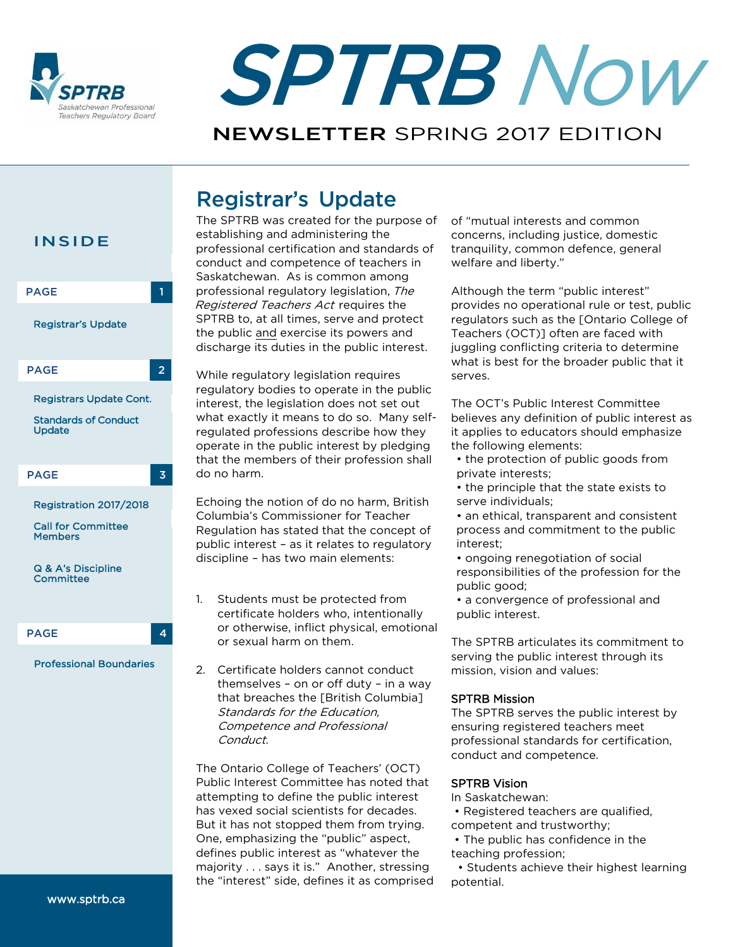



# NEWSLETTER SPRING 2017 EDITION

# Registrar's Update



The SPTRB was created for the purpose of establishing and administering the professional certification and standards of conduct and competence of teachers in Saskatchewan. As is common among professional regulatory legislation, The Registered Teachers Act requires the SPTRB to, at all times, serve and protect the public and exercise its powers and discharge its duties in the public interest.

While regulatory legislation requires regulatory bodies to operate in the public interest, the legislation does not set out what exactly it means to do so. Many selfregulated professions describe how they operate in the public interest by pledging that the members of their profession shall do no harm.

Echoing the notion of do no harm, British Columbia's Commissioner for Teacher Regulation has stated that the concept of public interest – as it relates to regulatory discipline – has two main elements:

1. Students must be protected from certificate holders who, intentionally or otherwise, inflict physical, emotional or sexual harm on them.

2. Certificate holders cannot conduct themselves – on or off duty – in a way that breaches the [British Columbia] Standards for the Education, Competence and Professional Conduct.

The Ontario College of Teachers' (OCT) Public Interest Committee has noted that attempting to define the public interest has vexed social scientists for decades. But it has not stopped them from trying. One, emphasizing the "public" aspect, defines public interest as "whatever the majority . . . says it is." Another, stressing the "interest" side, defines it as comprised of "mutual interests and common concerns, including justice, domestic tranquility, common defence, general welfare and liberty."

Although the term "public interest" provides no operational rule or test, public regulators such as the [Ontario College of Teachers (OCT)] often are faced with juggling conflicting criteria to determine what is best for the broader public that it serves.

The OCT's Public Interest Committee believes any definition of public interest as it applies to educators should emphasize the following elements:

- the protection of public goods from private interests;
- the principle that the state exists to serve individuals;
- an ethical, transparent and consistent process and commitment to the public interest;
- ongoing renegotiation of social responsibilities of the profession for the public good;
- a convergence of professional and public interest.

The SPTRB articulates its commitment to serving the public interest through its mission, vision and values:

### SPTRB Mission

The SPTRB serves the public interest by ensuring registered teachers meet professional standards for certification, conduct and competence.

### SPTRB Vision

In Saskatchewan:

• Registered teachers are qualified,

competent and trustworthy;

• The public has confidence in the teaching profession;

• Students achieve their highest learning potential.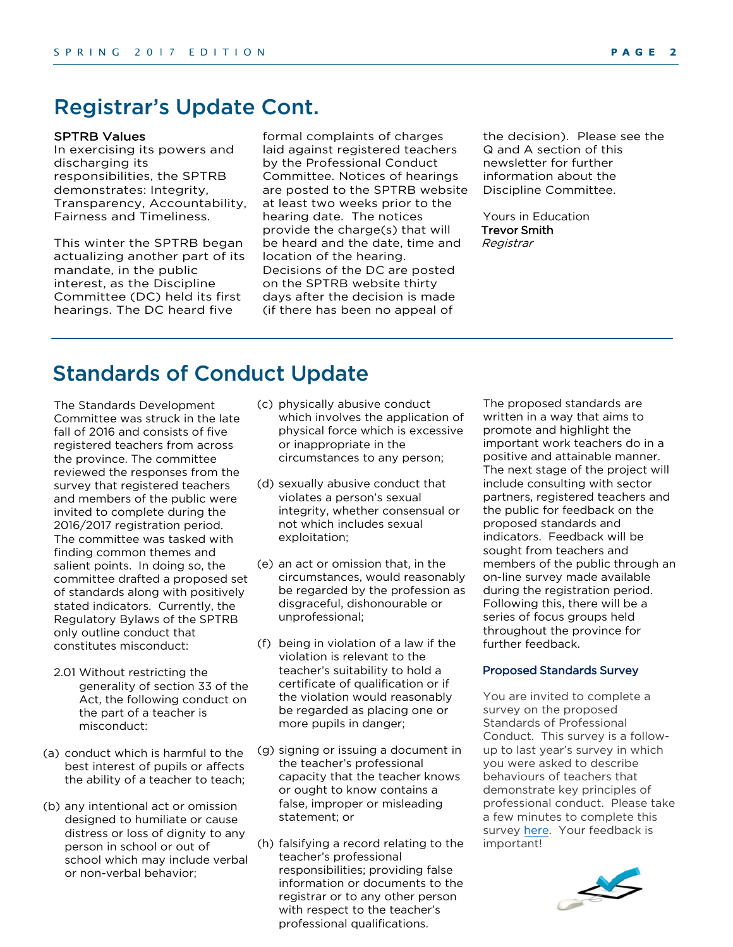### Registrar's Update Cont. SPTRB Values

In exercising its powers and discharging its responsibilities, the SPTRB demonstrates: Integrity, Transparency, Accountability, Fairness and Timeliness.

This winter the SPTRB began actualizing another part of its mandate, in the public interest, as the Discipline Committee (DC) held its first hearings. The DC heard five

formal complaints of charges laid against registered teachers by the Professional Conduct Committee. Notices of hearings are posted to the SPTRB website at least two weeks prior to the hearing date. The notices provide the charge(s) that will be heard and the date, time and location of the hearing. Decisions of the DC are posted on the SPTRB website thirty days after the decision is made (if there has been no appeal of

the decision). Please see the Q and A section of this newsletter for further information about the Discipline Committee.

Yours in Education Trevor Smith Registrar

## Standards of Conduct Update

The Standards Development Committee was struck in the late fall of 2016 and consists of five registered teachers from across the province. The committee reviewed the responses from the survey that registered teachers and members of the public were invited to complete during the 2016/2017 registration period. The committee was tasked with finding common themes and salient points. In doing so, the committee drafted a proposed set of standards along with positively stated indicators. Currently, the Regulatory Bylaws of the SPTRB only outline conduct that constitutes misconduct:

- 2.01 Without restricting the generality of section 33 of the Act, the following conduct on the part of a teacher is misconduct:
- (a) conduct which is harmful to the best interest of pupils or affects the ability of a teacher to teach;
- (b) any intentional act or omission designed to humiliate or cause distress or loss of dignity to any person in school or out of school which may include verbal or non-verbal behavior;
- (c) physically abusive conduct which involves the application of physical force which is excessive or inappropriate in the circumstances to any person;
- (d) sexually abusive conduct that violates a person's sexual integrity, whether consensual or not which includes sexual exploitation;
- (e) an act or omission that, in the circumstances, would reasonably be regarded by the profession as disgraceful, dishonourable or unprofessional;
- (f) being in violation of a law if the violation is relevant to the teacher's suitability to hold a certificate of qualification or if the violation would reasonably be regarded as placing one or more pupils in danger;
- (g) signing or issuing a document in the teacher's professional capacity that the teacher knows or ought to know contains a false, improper or misleading statement; or
- (h) falsifying a record relating to the teacher's professional responsibilities; providing false information or documents to the registrar or to any other person with respect to the teacher's professional qualifications.

The proposed standards are written in a way that aims to promote and highlight the important work teachers do in a positive and attainable manner. The next stage of the project will include consulting with sector partners, registered teachers and the public for feedback on the proposed standards and indicators. Feedback will be sought from teachers and members of the public through an on-line survey made available during the registration period. Following this, there will be a series of focus groups held throughout the province for further feedback.

#### Proposed Standards Survey

You are invited to complete a survey on the proposed Standards of Professional Conduct. This survey is a followup to last year's survey in which you were asked to describe behaviours of teachers that demonstrate key principles of professional conduct. Please take a few minutes to complete this survey [here.](https://www.surveymonkey.com/r/L23WH7J) Your feedback is important!

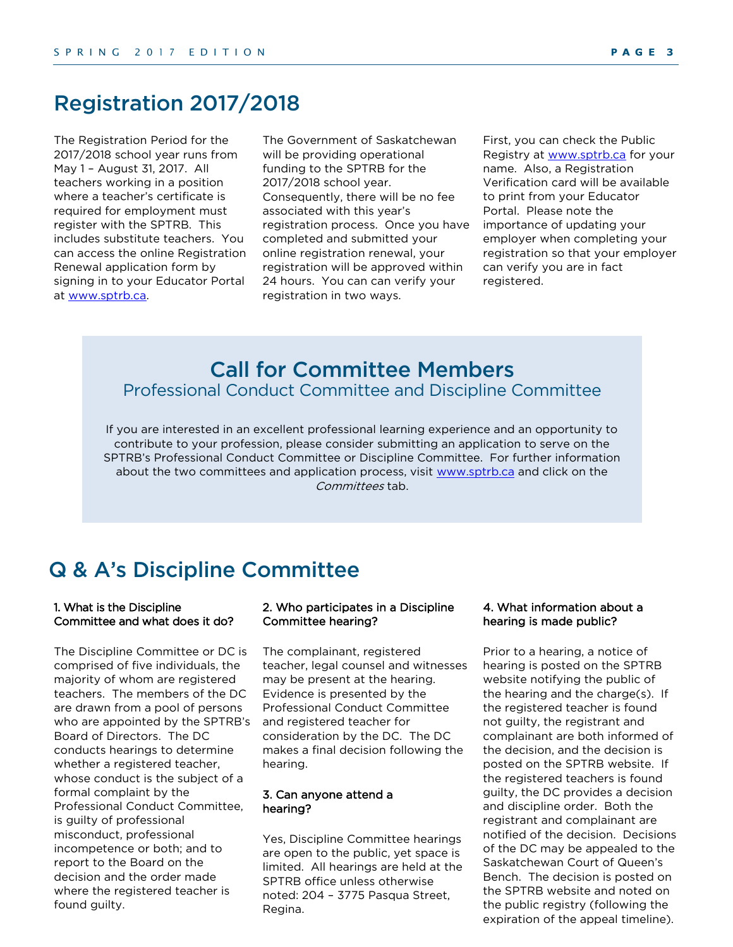### Registration 2017/2018

The Registration Period for the 2017/2018 school year runs from May 1 – August 31, 2017. All teachers working in a position where a teacher's certificate is required for employment must register with the SPTRB. This includes substitute teachers. You can access the online Registration Renewal application form by signing in to your Educator Portal at [www.sptrb.ca.](http://www.sptrb.ca/) 

The Government of Saskatchewan will be providing operational funding to the SPTRB for the 2017/2018 school year. Consequently, there will be no fee associated with this year's registration process. Once you have completed and submitted your online registration renewal, your registration will be approved within 24 hours. You can can verify your registration in two ways.

First, you can check the Public Registry at [www.sptrb.ca](http://www.sptrb.ca/) for your name. Also, a Registration Verification card will be available to print from your Educator Portal. Please note the importance of updating your employer when completing your registration so that your employer can verify you are in fact registered.

### Call for Committee Members Professional Conduct Committee and Discipline Committee

If you are interested in an excellent professional learning experience and an opportunity to contribute to your profession, please consider submitting an application to serve on the SPTRB's Professional Conduct Committee or Discipline Committee. For further information about the two committees and application process, visit [www.sptrb.ca](http://www.sptrb.ca/) and click on the Committees tab.

### Q & A's Discipline Committee

#### 1. What is the Discipline Committee and what does it do?

The Discipline Committee or DC is comprised of five individuals, the majority of whom are registered teachers. The members of the DC are drawn from a pool of persons who are appointed by the SPTRB's Board of Directors. The DC conducts hearings to determine whether a registered teacher, whose conduct is the subject of a formal complaint by the Professional Conduct Committee, is guilty of professional misconduct, professional incompetence or both; and to report to the Board on the decision and the order made where the registered teacher is found guilty.

#### 2. Who participates in a Discipline Committee hearing?

The complainant, registered teacher, legal counsel and witnesses may be present at the hearing. Evidence is presented by the Professional Conduct Committee and registered teacher for consideration by the DC. The DC makes a final decision following the hearing.

#### 3. Can anyone attend a hearing?

Yes, Discipline Committee hearings are open to the public, yet space is limited. All hearings are held at the SPTRB office unless otherwise noted: 204 – 3775 Pasqua Street, Regina.

### 4. What information about a hearing is made public?

Prior to a hearing, a notice of hearing is posted on the SPTRB website notifying the public of the hearing and the charge(s). If the registered teacher is found not guilty, the registrant and complainant are both informed of the decision, and the decision is posted on the SPTRB website. If the registered teachers is found guilty, the DC provides a decision and discipline order. Both the registrant and complainant are notified of the decision. Decisions of the DC may be appealed to the Saskatchewan Court of Queen's Bench. The decision is posted on the SPTRB website and noted on the public registry (following the expiration of the appeal timeline).